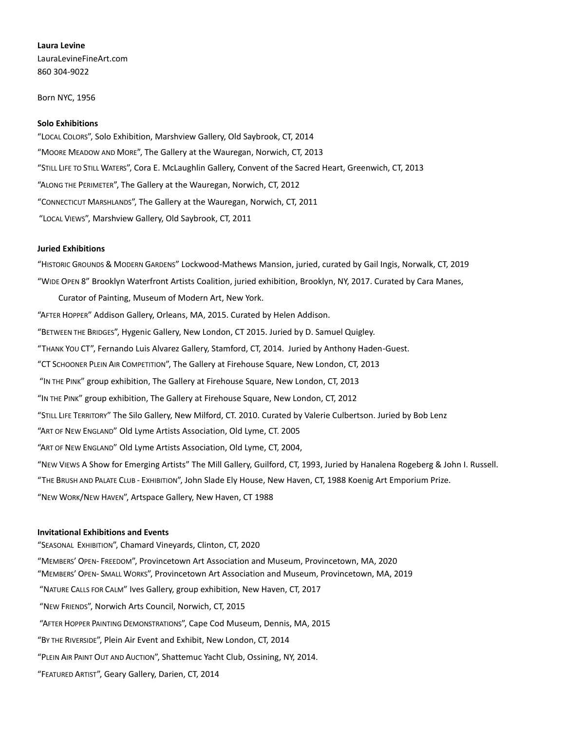## **Laura Levine**

LauraLevineFineArt.com 860 304-9022

Born NYC, 1956

#### **Solo Exhibitions**

"LOCAL COLORS", Solo Exhibition, Marshview Gallery, Old Saybrook, CT, 2014 "MOORE MEADOW AND MORE", The Gallery at the Wauregan, Norwich, CT, 2013 "STILL LIFE TO STILL WATERS", Cora E. McLaughlin Gallery, Convent of the Sacred Heart, Greenwich, CT, 2013 "ALONG THE PERIMETER", The Gallery at the Wauregan, Norwich, CT, 2012 "CONNECTICUT MARSHLANDS", The Gallery at the Wauregan, Norwich, CT, 2011 "LOCAL VIEWS", Marshview Gallery, Old Saybrook, CT, 2011

### **Juried Exhibitions**

"HISTORIC GROUNDS & MODERN GARDENS" Lockwood-Mathews Mansion, juried, curated by Gail Ingis, Norwalk, CT, 2019 "WIDE OPEN 8" Brooklyn Waterfront Artists Coalition, juried exhibition, Brooklyn, NY, 2017. Curated by Cara Manes, Curator of Painting, Museum of Modern Art, New York. "AFTER HOPPER" Addison Gallery, Orleans, MA, 2015. Curated by Helen Addison. "BETWEEN THE BRIDGES", Hygenic Gallery, New London, CT 2015. Juried by D. Samuel Quigley. "THANK YOU CT", Fernando Luis Alvarez Gallery, Stamford, CT, 2014. Juried by Anthony Haden-Guest. "CT SCHOONER PLEIN AIR COMPETITION", The Gallery at Firehouse Square, New London, CT, 2013 "IN THE PINK" group exhibition, The Gallery at Firehouse Square, New London, CT, 2013 "IN THE PINK" group exhibition, The Gallery at Firehouse Square, New London, CT, 2012 "STILL LIFE TERRITORY" The Silo Gallery, New Milford, CT. 2010. Curated by Valerie Culbertson. Juried by Bob Lenz "ART OF NEW ENGLAND" Old Lyme Artists Association, Old Lyme, CT. 2005 "ART OF NEW ENGLAND" Old Lyme Artists Association, Old Lyme, CT, 2004, "NEW VIEWS A Show for Emerging Artists" The Mill Gallery, Guilford, CT, 1993, Juried by Hanalena Rogeberg & John I. Russell. "THE BRUSH AND PALATE CLUB - EXHIBITION", John Slade Ely House, New Haven, CT, 1988 Koenig Art Emporium Prize. "NEW WORK/NEW HAVEN", Artspace Gallery, New Haven, CT 1988

# **Invitational Exhibitions and Events**

"SEASONAL EXHIBITION", Chamard Vineyards, Clinton, CT, 2020 "MEMBERS' OPEN- FREEDOM", Provincetown Art Association and Museum, Provincetown, MA, 2020 "MEMBERS' OPEN- SMALL WORKS", Provincetown Art Association and Museum, Provincetown, MA, 2019 "NATURE CALLS FOR CALM" Ives Gallery, group exhibition, New Haven, CT, 2017 "NEW FRIENDS", Norwich Arts Council, Norwich, CT, 2015 "AFTER HOPPER PAINTING DEMONSTRATIONS", Cape Cod Museum, Dennis, MA, 2015 "BY THE RIVERSIDE", Plein Air Event and Exhibit, New London, CT, 2014 "PLEIN AIR PAINT OUT AND AUCTION", Shattemuc Yacht Club, Ossining, NY, 2014.

"FEATURED ARTIST", Geary Gallery, Darien, CT, 2014